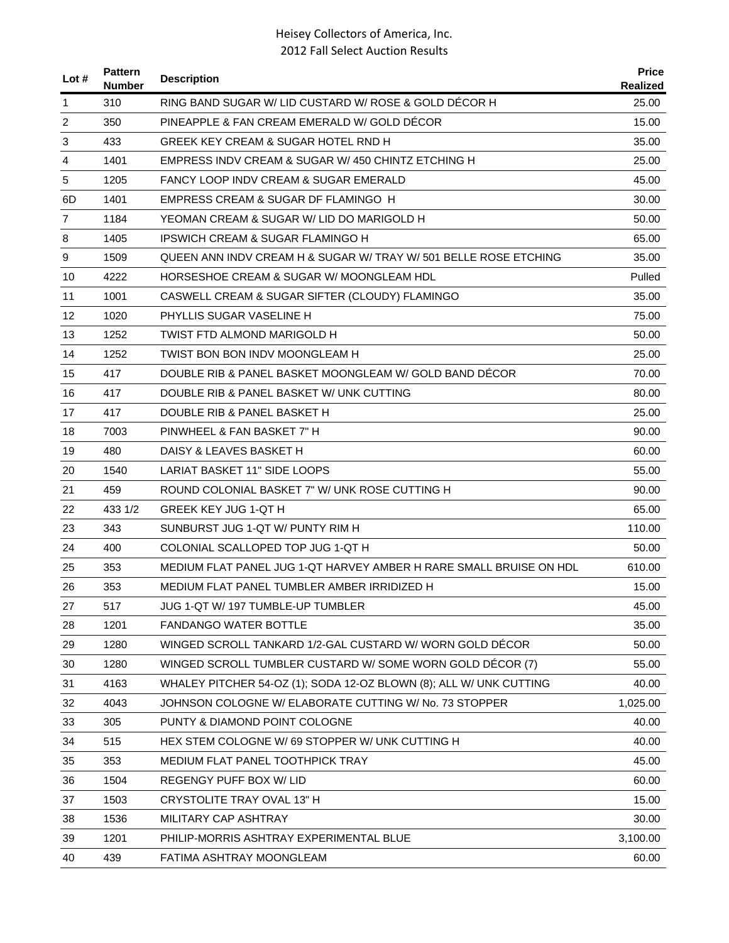| RING BAND SUGAR W/ LID CUSTARD W/ ROSE & GOLD DECOR H<br>25.00<br>310<br>1<br>2<br>350<br>PINEAPPLE & FAN CREAM EMERALD W/ GOLD DECOR<br>15.00<br>433<br>3<br>GREEK KEY CREAM & SUGAR HOTEL RND H<br>35.00<br>1401<br>EMPRESS INDV CREAM & SUGAR W/ 450 CHINTZ ETCHING H<br>25.00<br>4<br>5<br>1205<br>FANCY LOOP INDV CREAM & SUGAR EMERALD<br>45.00<br>6D<br>1401<br>EMPRESS CREAM & SUGAR DF FLAMINGO H<br>30.00<br>$\overline{7}$<br>1184<br>YEOMAN CREAM & SUGAR W/ LID DO MARIGOLD H<br>50.00<br>1405<br>IPSWICH CREAM & SUGAR FLAMINGO H<br>65.00<br>8<br>9<br>1509<br>QUEEN ANN INDV CREAM H & SUGAR W/ TRAY W/ 501 BELLE ROSE ETCHING<br>35.00<br>4222<br>Pulled<br>10<br>HORSESHOE CREAM & SUGAR W/ MOONGLEAM HDL<br>1001<br>35.00<br>11<br>CASWELL CREAM & SUGAR SIFTER (CLOUDY) FLAMINGO<br>12<br>1020<br>PHYLLIS SUGAR VASELINE H<br>75.00<br>TWIST FTD ALMOND MARIGOLD H<br>13<br>1252<br>50.00<br>1252<br>14<br>TWIST BON BON INDV MOONGLEAM H<br>25.00<br>DOUBLE RIB & PANEL BASKET MOONGLEAM W/ GOLD BAND DÉCOR<br>15<br>417<br>70.00<br>417<br>DOUBLE RIB & PANEL BASKET W/ UNK CUTTING<br>80.00<br>16<br>17<br>417<br>DOUBLE RIB & PANEL BASKET H<br>25.00<br>7003<br>PINWHEEL & FAN BASKET 7" H<br>90.00<br>18<br>19<br>480<br>DAISY & LEAVES BASKET H<br>60.00<br><b>LARIAT BASKET 11" SIDE LOOPS</b><br>20<br>1540<br>55.00<br>459<br>ROUND COLONIAL BASKET 7" W/ UNK ROSE CUTTING H<br>90.00<br>21<br><b>GREEK KEY JUG 1-QT H</b><br>22<br>433 1/2<br>65.00<br>23<br>343<br>SUNBURST JUG 1-QT W/ PUNTY RIM H<br>110.00<br>24<br>400<br>COLONIAL SCALLOPED TOP JUG 1-QT H<br>50.00<br>MEDIUM FLAT PANEL JUG 1-QT HARVEY AMBER H RARE SMALL BRUISE ON HDL<br>25<br>353<br>610.00<br>353<br>MEDIUM FLAT PANEL TUMBLER AMBER IRRIDIZED H<br>15.00<br>26<br>JUG 1-QT W/ 197 TUMBLE-UP TUMBLER<br>45.00<br>27<br>517<br>1201<br><b>FANDANGO WATER BOTTLE</b><br>35.00<br>28<br>1280<br>WINGED SCROLL TANKARD 1/2-GAL CUSTARD W/ WORN GOLD DÉCOR<br>29<br>50.00<br>1280<br>WINGED SCROLL TUMBLER CUSTARD W/ SOME WORN GOLD DÉCOR (7)<br>30<br>55.00<br>WHALEY PITCHER 54-OZ (1); SODA 12-OZ BLOWN (8); ALL W/ UNK CUTTING<br>40.00<br>31<br>4163<br>JOHNSON COLOGNE W/ ELABORATE CUTTING W/ No. 73 STOPPER<br>32<br>4043<br>1,025.00<br>305<br>PUNTY & DIAMOND POINT COLOGNE<br>40.00<br>33<br>34<br>515<br>HEX STEM COLOGNE W/ 69 STOPPER W/ UNK CUTTING H<br>40.00<br>353<br>MEDIUM FLAT PANEL TOOTHPICK TRAY<br>45.00<br>35<br>1504<br>REGENGY PUFF BOX W/LID<br>60.00<br>36<br>CRYSTOLITE TRAY OVAL 13" H<br>15.00<br>37<br>1503<br>1536<br>MILITARY CAP ASHTRAY<br>38<br>30.00<br>39<br>1201<br>PHILIP-MORRIS ASHTRAY EXPERIMENTAL BLUE<br>3,100.00<br>40<br>439<br>FATIMA ASHTRAY MOONGLEAM<br>60.00 | Lot $#$ | <b>Pattern</b><br><b>Number</b> | <b>Description</b> | <b>Price</b><br>Realized |
|----------------------------------------------------------------------------------------------------------------------------------------------------------------------------------------------------------------------------------------------------------------------------------------------------------------------------------------------------------------------------------------------------------------------------------------------------------------------------------------------------------------------------------------------------------------------------------------------------------------------------------------------------------------------------------------------------------------------------------------------------------------------------------------------------------------------------------------------------------------------------------------------------------------------------------------------------------------------------------------------------------------------------------------------------------------------------------------------------------------------------------------------------------------------------------------------------------------------------------------------------------------------------------------------------------------------------------------------------------------------------------------------------------------------------------------------------------------------------------------------------------------------------------------------------------------------------------------------------------------------------------------------------------------------------------------------------------------------------------------------------------------------------------------------------------------------------------------------------------------------------------------------------------------------------------------------------------------------------------------------------------------------------------------------------------------------------------------------------------------------------------------------------------------------------------------------------------------------------------------------------------------------------------------------------------------------------------------------------------------------------------------------------------------------------------------------------------------------------------------------------------------------------------------------------------------------------------------------------------------------------------------------------------------------------------------------------------------------------|---------|---------------------------------|--------------------|--------------------------|
|                                                                                                                                                                                                                                                                                                                                                                                                                                                                                                                                                                                                                                                                                                                                                                                                                                                                                                                                                                                                                                                                                                                                                                                                                                                                                                                                                                                                                                                                                                                                                                                                                                                                                                                                                                                                                                                                                                                                                                                                                                                                                                                                                                                                                                                                                                                                                                                                                                                                                                                                                                                                                                                                                                                            |         |                                 |                    |                          |
|                                                                                                                                                                                                                                                                                                                                                                                                                                                                                                                                                                                                                                                                                                                                                                                                                                                                                                                                                                                                                                                                                                                                                                                                                                                                                                                                                                                                                                                                                                                                                                                                                                                                                                                                                                                                                                                                                                                                                                                                                                                                                                                                                                                                                                                                                                                                                                                                                                                                                                                                                                                                                                                                                                                            |         |                                 |                    |                          |
|                                                                                                                                                                                                                                                                                                                                                                                                                                                                                                                                                                                                                                                                                                                                                                                                                                                                                                                                                                                                                                                                                                                                                                                                                                                                                                                                                                                                                                                                                                                                                                                                                                                                                                                                                                                                                                                                                                                                                                                                                                                                                                                                                                                                                                                                                                                                                                                                                                                                                                                                                                                                                                                                                                                            |         |                                 |                    |                          |
|                                                                                                                                                                                                                                                                                                                                                                                                                                                                                                                                                                                                                                                                                                                                                                                                                                                                                                                                                                                                                                                                                                                                                                                                                                                                                                                                                                                                                                                                                                                                                                                                                                                                                                                                                                                                                                                                                                                                                                                                                                                                                                                                                                                                                                                                                                                                                                                                                                                                                                                                                                                                                                                                                                                            |         |                                 |                    |                          |
|                                                                                                                                                                                                                                                                                                                                                                                                                                                                                                                                                                                                                                                                                                                                                                                                                                                                                                                                                                                                                                                                                                                                                                                                                                                                                                                                                                                                                                                                                                                                                                                                                                                                                                                                                                                                                                                                                                                                                                                                                                                                                                                                                                                                                                                                                                                                                                                                                                                                                                                                                                                                                                                                                                                            |         |                                 |                    |                          |
|                                                                                                                                                                                                                                                                                                                                                                                                                                                                                                                                                                                                                                                                                                                                                                                                                                                                                                                                                                                                                                                                                                                                                                                                                                                                                                                                                                                                                                                                                                                                                                                                                                                                                                                                                                                                                                                                                                                                                                                                                                                                                                                                                                                                                                                                                                                                                                                                                                                                                                                                                                                                                                                                                                                            |         |                                 |                    |                          |
|                                                                                                                                                                                                                                                                                                                                                                                                                                                                                                                                                                                                                                                                                                                                                                                                                                                                                                                                                                                                                                                                                                                                                                                                                                                                                                                                                                                                                                                                                                                                                                                                                                                                                                                                                                                                                                                                                                                                                                                                                                                                                                                                                                                                                                                                                                                                                                                                                                                                                                                                                                                                                                                                                                                            |         |                                 |                    |                          |
|                                                                                                                                                                                                                                                                                                                                                                                                                                                                                                                                                                                                                                                                                                                                                                                                                                                                                                                                                                                                                                                                                                                                                                                                                                                                                                                                                                                                                                                                                                                                                                                                                                                                                                                                                                                                                                                                                                                                                                                                                                                                                                                                                                                                                                                                                                                                                                                                                                                                                                                                                                                                                                                                                                                            |         |                                 |                    |                          |
|                                                                                                                                                                                                                                                                                                                                                                                                                                                                                                                                                                                                                                                                                                                                                                                                                                                                                                                                                                                                                                                                                                                                                                                                                                                                                                                                                                                                                                                                                                                                                                                                                                                                                                                                                                                                                                                                                                                                                                                                                                                                                                                                                                                                                                                                                                                                                                                                                                                                                                                                                                                                                                                                                                                            |         |                                 |                    |                          |
|                                                                                                                                                                                                                                                                                                                                                                                                                                                                                                                                                                                                                                                                                                                                                                                                                                                                                                                                                                                                                                                                                                                                                                                                                                                                                                                                                                                                                                                                                                                                                                                                                                                                                                                                                                                                                                                                                                                                                                                                                                                                                                                                                                                                                                                                                                                                                                                                                                                                                                                                                                                                                                                                                                                            |         |                                 |                    |                          |
|                                                                                                                                                                                                                                                                                                                                                                                                                                                                                                                                                                                                                                                                                                                                                                                                                                                                                                                                                                                                                                                                                                                                                                                                                                                                                                                                                                                                                                                                                                                                                                                                                                                                                                                                                                                                                                                                                                                                                                                                                                                                                                                                                                                                                                                                                                                                                                                                                                                                                                                                                                                                                                                                                                                            |         |                                 |                    |                          |
|                                                                                                                                                                                                                                                                                                                                                                                                                                                                                                                                                                                                                                                                                                                                                                                                                                                                                                                                                                                                                                                                                                                                                                                                                                                                                                                                                                                                                                                                                                                                                                                                                                                                                                                                                                                                                                                                                                                                                                                                                                                                                                                                                                                                                                                                                                                                                                                                                                                                                                                                                                                                                                                                                                                            |         |                                 |                    |                          |
|                                                                                                                                                                                                                                                                                                                                                                                                                                                                                                                                                                                                                                                                                                                                                                                                                                                                                                                                                                                                                                                                                                                                                                                                                                                                                                                                                                                                                                                                                                                                                                                                                                                                                                                                                                                                                                                                                                                                                                                                                                                                                                                                                                                                                                                                                                                                                                                                                                                                                                                                                                                                                                                                                                                            |         |                                 |                    |                          |
|                                                                                                                                                                                                                                                                                                                                                                                                                                                                                                                                                                                                                                                                                                                                                                                                                                                                                                                                                                                                                                                                                                                                                                                                                                                                                                                                                                                                                                                                                                                                                                                                                                                                                                                                                                                                                                                                                                                                                                                                                                                                                                                                                                                                                                                                                                                                                                                                                                                                                                                                                                                                                                                                                                                            |         |                                 |                    |                          |
|                                                                                                                                                                                                                                                                                                                                                                                                                                                                                                                                                                                                                                                                                                                                                                                                                                                                                                                                                                                                                                                                                                                                                                                                                                                                                                                                                                                                                                                                                                                                                                                                                                                                                                                                                                                                                                                                                                                                                                                                                                                                                                                                                                                                                                                                                                                                                                                                                                                                                                                                                                                                                                                                                                                            |         |                                 |                    |                          |
|                                                                                                                                                                                                                                                                                                                                                                                                                                                                                                                                                                                                                                                                                                                                                                                                                                                                                                                                                                                                                                                                                                                                                                                                                                                                                                                                                                                                                                                                                                                                                                                                                                                                                                                                                                                                                                                                                                                                                                                                                                                                                                                                                                                                                                                                                                                                                                                                                                                                                                                                                                                                                                                                                                                            |         |                                 |                    |                          |
|                                                                                                                                                                                                                                                                                                                                                                                                                                                                                                                                                                                                                                                                                                                                                                                                                                                                                                                                                                                                                                                                                                                                                                                                                                                                                                                                                                                                                                                                                                                                                                                                                                                                                                                                                                                                                                                                                                                                                                                                                                                                                                                                                                                                                                                                                                                                                                                                                                                                                                                                                                                                                                                                                                                            |         |                                 |                    |                          |
|                                                                                                                                                                                                                                                                                                                                                                                                                                                                                                                                                                                                                                                                                                                                                                                                                                                                                                                                                                                                                                                                                                                                                                                                                                                                                                                                                                                                                                                                                                                                                                                                                                                                                                                                                                                                                                                                                                                                                                                                                                                                                                                                                                                                                                                                                                                                                                                                                                                                                                                                                                                                                                                                                                                            |         |                                 |                    |                          |
|                                                                                                                                                                                                                                                                                                                                                                                                                                                                                                                                                                                                                                                                                                                                                                                                                                                                                                                                                                                                                                                                                                                                                                                                                                                                                                                                                                                                                                                                                                                                                                                                                                                                                                                                                                                                                                                                                                                                                                                                                                                                                                                                                                                                                                                                                                                                                                                                                                                                                                                                                                                                                                                                                                                            |         |                                 |                    |                          |
|                                                                                                                                                                                                                                                                                                                                                                                                                                                                                                                                                                                                                                                                                                                                                                                                                                                                                                                                                                                                                                                                                                                                                                                                                                                                                                                                                                                                                                                                                                                                                                                                                                                                                                                                                                                                                                                                                                                                                                                                                                                                                                                                                                                                                                                                                                                                                                                                                                                                                                                                                                                                                                                                                                                            |         |                                 |                    |                          |
|                                                                                                                                                                                                                                                                                                                                                                                                                                                                                                                                                                                                                                                                                                                                                                                                                                                                                                                                                                                                                                                                                                                                                                                                                                                                                                                                                                                                                                                                                                                                                                                                                                                                                                                                                                                                                                                                                                                                                                                                                                                                                                                                                                                                                                                                                                                                                                                                                                                                                                                                                                                                                                                                                                                            |         |                                 |                    |                          |
|                                                                                                                                                                                                                                                                                                                                                                                                                                                                                                                                                                                                                                                                                                                                                                                                                                                                                                                                                                                                                                                                                                                                                                                                                                                                                                                                                                                                                                                                                                                                                                                                                                                                                                                                                                                                                                                                                                                                                                                                                                                                                                                                                                                                                                                                                                                                                                                                                                                                                                                                                                                                                                                                                                                            |         |                                 |                    |                          |
|                                                                                                                                                                                                                                                                                                                                                                                                                                                                                                                                                                                                                                                                                                                                                                                                                                                                                                                                                                                                                                                                                                                                                                                                                                                                                                                                                                                                                                                                                                                                                                                                                                                                                                                                                                                                                                                                                                                                                                                                                                                                                                                                                                                                                                                                                                                                                                                                                                                                                                                                                                                                                                                                                                                            |         |                                 |                    |                          |
|                                                                                                                                                                                                                                                                                                                                                                                                                                                                                                                                                                                                                                                                                                                                                                                                                                                                                                                                                                                                                                                                                                                                                                                                                                                                                                                                                                                                                                                                                                                                                                                                                                                                                                                                                                                                                                                                                                                                                                                                                                                                                                                                                                                                                                                                                                                                                                                                                                                                                                                                                                                                                                                                                                                            |         |                                 |                    |                          |
|                                                                                                                                                                                                                                                                                                                                                                                                                                                                                                                                                                                                                                                                                                                                                                                                                                                                                                                                                                                                                                                                                                                                                                                                                                                                                                                                                                                                                                                                                                                                                                                                                                                                                                                                                                                                                                                                                                                                                                                                                                                                                                                                                                                                                                                                                                                                                                                                                                                                                                                                                                                                                                                                                                                            |         |                                 |                    |                          |
|                                                                                                                                                                                                                                                                                                                                                                                                                                                                                                                                                                                                                                                                                                                                                                                                                                                                                                                                                                                                                                                                                                                                                                                                                                                                                                                                                                                                                                                                                                                                                                                                                                                                                                                                                                                                                                                                                                                                                                                                                                                                                                                                                                                                                                                                                                                                                                                                                                                                                                                                                                                                                                                                                                                            |         |                                 |                    |                          |
|                                                                                                                                                                                                                                                                                                                                                                                                                                                                                                                                                                                                                                                                                                                                                                                                                                                                                                                                                                                                                                                                                                                                                                                                                                                                                                                                                                                                                                                                                                                                                                                                                                                                                                                                                                                                                                                                                                                                                                                                                                                                                                                                                                                                                                                                                                                                                                                                                                                                                                                                                                                                                                                                                                                            |         |                                 |                    |                          |
|                                                                                                                                                                                                                                                                                                                                                                                                                                                                                                                                                                                                                                                                                                                                                                                                                                                                                                                                                                                                                                                                                                                                                                                                                                                                                                                                                                                                                                                                                                                                                                                                                                                                                                                                                                                                                                                                                                                                                                                                                                                                                                                                                                                                                                                                                                                                                                                                                                                                                                                                                                                                                                                                                                                            |         |                                 |                    |                          |
|                                                                                                                                                                                                                                                                                                                                                                                                                                                                                                                                                                                                                                                                                                                                                                                                                                                                                                                                                                                                                                                                                                                                                                                                                                                                                                                                                                                                                                                                                                                                                                                                                                                                                                                                                                                                                                                                                                                                                                                                                                                                                                                                                                                                                                                                                                                                                                                                                                                                                                                                                                                                                                                                                                                            |         |                                 |                    |                          |
|                                                                                                                                                                                                                                                                                                                                                                                                                                                                                                                                                                                                                                                                                                                                                                                                                                                                                                                                                                                                                                                                                                                                                                                                                                                                                                                                                                                                                                                                                                                                                                                                                                                                                                                                                                                                                                                                                                                                                                                                                                                                                                                                                                                                                                                                                                                                                                                                                                                                                                                                                                                                                                                                                                                            |         |                                 |                    |                          |
|                                                                                                                                                                                                                                                                                                                                                                                                                                                                                                                                                                                                                                                                                                                                                                                                                                                                                                                                                                                                                                                                                                                                                                                                                                                                                                                                                                                                                                                                                                                                                                                                                                                                                                                                                                                                                                                                                                                                                                                                                                                                                                                                                                                                                                                                                                                                                                                                                                                                                                                                                                                                                                                                                                                            |         |                                 |                    |                          |
|                                                                                                                                                                                                                                                                                                                                                                                                                                                                                                                                                                                                                                                                                                                                                                                                                                                                                                                                                                                                                                                                                                                                                                                                                                                                                                                                                                                                                                                                                                                                                                                                                                                                                                                                                                                                                                                                                                                                                                                                                                                                                                                                                                                                                                                                                                                                                                                                                                                                                                                                                                                                                                                                                                                            |         |                                 |                    |                          |
|                                                                                                                                                                                                                                                                                                                                                                                                                                                                                                                                                                                                                                                                                                                                                                                                                                                                                                                                                                                                                                                                                                                                                                                                                                                                                                                                                                                                                                                                                                                                                                                                                                                                                                                                                                                                                                                                                                                                                                                                                                                                                                                                                                                                                                                                                                                                                                                                                                                                                                                                                                                                                                                                                                                            |         |                                 |                    |                          |
|                                                                                                                                                                                                                                                                                                                                                                                                                                                                                                                                                                                                                                                                                                                                                                                                                                                                                                                                                                                                                                                                                                                                                                                                                                                                                                                                                                                                                                                                                                                                                                                                                                                                                                                                                                                                                                                                                                                                                                                                                                                                                                                                                                                                                                                                                                                                                                                                                                                                                                                                                                                                                                                                                                                            |         |                                 |                    |                          |
|                                                                                                                                                                                                                                                                                                                                                                                                                                                                                                                                                                                                                                                                                                                                                                                                                                                                                                                                                                                                                                                                                                                                                                                                                                                                                                                                                                                                                                                                                                                                                                                                                                                                                                                                                                                                                                                                                                                                                                                                                                                                                                                                                                                                                                                                                                                                                                                                                                                                                                                                                                                                                                                                                                                            |         |                                 |                    |                          |
|                                                                                                                                                                                                                                                                                                                                                                                                                                                                                                                                                                                                                                                                                                                                                                                                                                                                                                                                                                                                                                                                                                                                                                                                                                                                                                                                                                                                                                                                                                                                                                                                                                                                                                                                                                                                                                                                                                                                                                                                                                                                                                                                                                                                                                                                                                                                                                                                                                                                                                                                                                                                                                                                                                                            |         |                                 |                    |                          |
|                                                                                                                                                                                                                                                                                                                                                                                                                                                                                                                                                                                                                                                                                                                                                                                                                                                                                                                                                                                                                                                                                                                                                                                                                                                                                                                                                                                                                                                                                                                                                                                                                                                                                                                                                                                                                                                                                                                                                                                                                                                                                                                                                                                                                                                                                                                                                                                                                                                                                                                                                                                                                                                                                                                            |         |                                 |                    |                          |
|                                                                                                                                                                                                                                                                                                                                                                                                                                                                                                                                                                                                                                                                                                                                                                                                                                                                                                                                                                                                                                                                                                                                                                                                                                                                                                                                                                                                                                                                                                                                                                                                                                                                                                                                                                                                                                                                                                                                                                                                                                                                                                                                                                                                                                                                                                                                                                                                                                                                                                                                                                                                                                                                                                                            |         |                                 |                    |                          |
|                                                                                                                                                                                                                                                                                                                                                                                                                                                                                                                                                                                                                                                                                                                                                                                                                                                                                                                                                                                                                                                                                                                                                                                                                                                                                                                                                                                                                                                                                                                                                                                                                                                                                                                                                                                                                                                                                                                                                                                                                                                                                                                                                                                                                                                                                                                                                                                                                                                                                                                                                                                                                                                                                                                            |         |                                 |                    |                          |
|                                                                                                                                                                                                                                                                                                                                                                                                                                                                                                                                                                                                                                                                                                                                                                                                                                                                                                                                                                                                                                                                                                                                                                                                                                                                                                                                                                                                                                                                                                                                                                                                                                                                                                                                                                                                                                                                                                                                                                                                                                                                                                                                                                                                                                                                                                                                                                                                                                                                                                                                                                                                                                                                                                                            |         |                                 |                    |                          |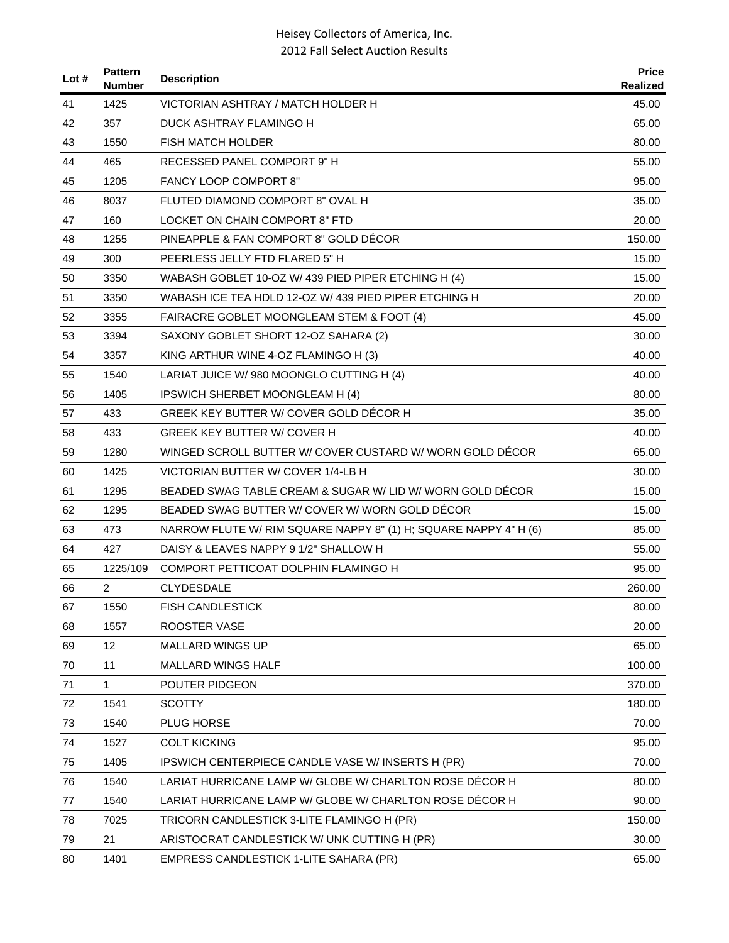| Lot # | <b>Pattern</b><br><b>Number</b> | <b>Description</b>                                               | <b>Price</b><br>Realized |
|-------|---------------------------------|------------------------------------------------------------------|--------------------------|
| 41    | 1425                            | VICTORIAN ASHTRAY / MATCH HOLDER H                               | 45.00                    |
| 42    | 357                             | DUCK ASHTRAY FLAMINGO H                                          | 65.00                    |
| 43    | 1550                            | <b>FISH MATCH HOLDER</b>                                         | 80.00                    |
| 44    | 465                             | RECESSED PANEL COMPORT 9" H                                      | 55.00                    |
| 45    | 1205                            | <b>FANCY LOOP COMPORT 8"</b>                                     | 95.00                    |
| 46    | 8037                            | FLUTED DIAMOND COMPORT 8" OVAL H                                 | 35.00                    |
| 47    | 160                             | LOCKET ON CHAIN COMPORT 8" FTD                                   | 20.00                    |
| 48    | 1255                            | PINEAPPLE & FAN COMPORT 8" GOLD DÉCOR                            | 150.00                   |
| 49    | 300                             | PEERLESS JELLY FTD FLARED 5" H                                   | 15.00                    |
| 50    | 3350                            | WABASH GOBLET 10-OZ W/ 439 PIED PIPER ETCHING H (4)              | 15.00                    |
| 51    | 3350                            | WABASH ICE TEA HDLD 12-OZ W/ 439 PIED PIPER ETCHING H            | 20.00                    |
| 52    | 3355                            | FAIRACRE GOBLET MOONGLEAM STEM & FOOT (4)                        | 45.00                    |
| 53    | 3394                            | SAXONY GOBLET SHORT 12-OZ SAHARA (2)                             | 30.00                    |
| 54    | 3357                            | KING ARTHUR WINE 4-OZ FLAMINGO H (3)                             | 40.00                    |
| 55    | 1540                            | LARIAT JUICE W/ 980 MOONGLO CUTTING H (4)                        | 40.00                    |
| 56    | 1405                            | <b>IPSWICH SHERBET MOONGLEAM H (4)</b>                           | 80.00                    |
| 57    | 433                             | GREEK KEY BUTTER W/ COVER GOLD DÉCOR H                           | 35.00                    |
| 58    | 433                             | <b>GREEK KEY BUTTER W/ COVER H</b>                               | 40.00                    |
| 59    | 1280                            | WINGED SCROLL BUTTER W/ COVER CUSTARD W/ WORN GOLD DECOR         | 65.00                    |
| 60    | 1425                            | VICTORIAN BUTTER W/ COVER 1/4-LB H                               | 30.00                    |
| 61    | 1295                            | BEADED SWAG TABLE CREAM & SUGAR W/ LID W/ WORN GOLD DÉCOR        | 15.00                    |
| 62    | 1295                            | BEADED SWAG BUTTER W/ COVER W/ WORN GOLD DÉCOR                   | 15.00                    |
| 63    | 473                             | NARROW FLUTE W/ RIM SQUARE NAPPY 8" (1) H; SQUARE NAPPY 4" H (6) | 85.00                    |
| 64    | 427                             | DAISY & LEAVES NAPPY 9 1/2" SHALLOW H                            | 55.00                    |
| 65    | 1225/109                        | COMPORT PETTICOAT DOLPHIN FLAMINGO H                             | 95.00                    |
| 66    | 2                               | <b>CLYDESDALE</b>                                                | 260.00                   |
| 67    | 1550                            | <b>FISH CANDLESTICK</b>                                          | 80.00                    |
| 68    | 1557                            | ROOSTER VASE                                                     | 20.00                    |
| 69    | 12                              | <b>MALLARD WINGS UP</b>                                          | 65.00                    |
| 70    | 11                              | <b>MALLARD WINGS HALF</b>                                        | 100.00                   |
| 71    | $\mathbf{1}$                    | POUTER PIDGEON                                                   | 370.00                   |
| 72    | 1541                            | <b>SCOTTY</b>                                                    | 180.00                   |
| 73    | 1540                            | PLUG HORSE                                                       | 70.00                    |
| 74    | 1527                            | <b>COLT KICKING</b>                                              | 95.00                    |
| 75    | 1405                            | IPSWICH CENTERPIECE CANDLE VASE W/ INSERTS H (PR)                | 70.00                    |
| 76    | 1540                            | LARIAT HURRICANE LAMP W/ GLOBE W/ CHARLTON ROSE DÉCOR H          | 80.00                    |
| 77    | 1540                            | LARIAT HURRICANE LAMP W/ GLOBE W/ CHARLTON ROSE DÉCOR H          | 90.00                    |
| 78    | 7025                            | TRICORN CANDLESTICK 3-LITE FLAMINGO H (PR)                       | 150.00                   |
| 79    | 21                              | ARISTOCRAT CANDLESTICK W/ UNK CUTTING H (PR)                     | 30.00                    |
| 80    | 1401                            | EMPRESS CANDLESTICK 1-LITE SAHARA (PR)                           | 65.00                    |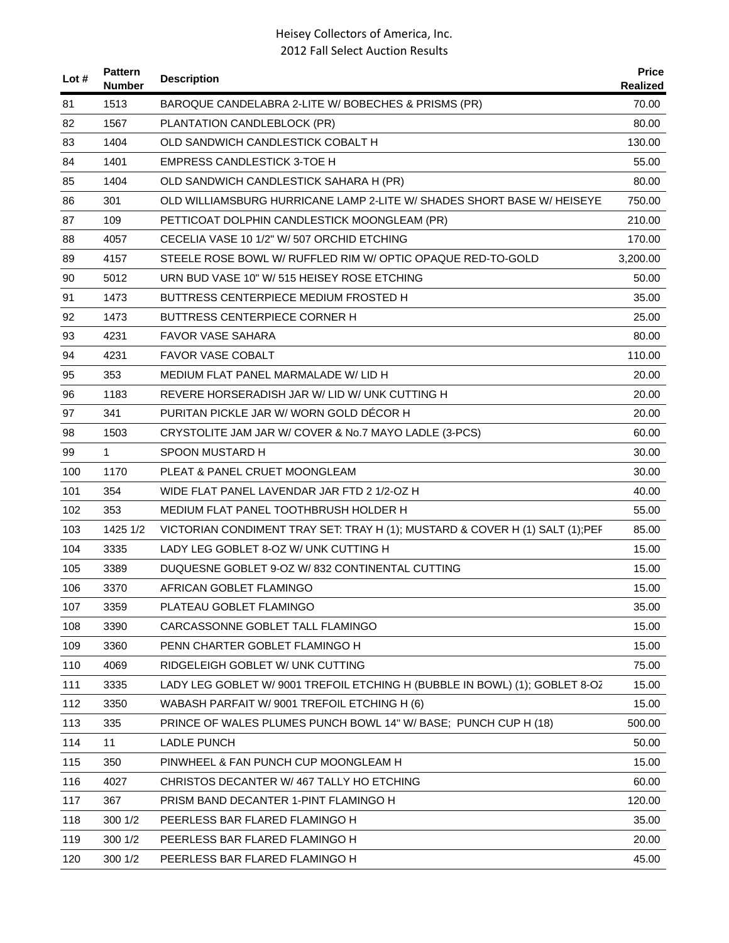| Lot # | <b>Pattern</b><br><b>Number</b> | <b>Description</b>                                                            | <b>Price</b><br><b>Realized</b> |
|-------|---------------------------------|-------------------------------------------------------------------------------|---------------------------------|
| 81    | 1513                            | BAROQUE CANDELABRA 2-LITE W/ BOBECHES & PRISMS (PR)                           | 70.00                           |
| 82    | 1567                            | PLANTATION CANDLEBLOCK (PR)                                                   | 80.00                           |
| 83    | 1404                            | OLD SANDWICH CANDLESTICK COBALT H                                             | 130.00                          |
| 84    | 1401                            | <b>EMPRESS CANDLESTICK 3-TOE H</b>                                            | 55.00                           |
| 85    | 1404                            | OLD SANDWICH CANDLESTICK SAHARA H (PR)                                        | 80.00                           |
| 86    | 301                             | OLD WILLIAMSBURG HURRICANE LAMP 2-LITE W/ SHADES SHORT BASE W/ HEISEYE        | 750.00                          |
| 87    | 109                             | PETTICOAT DOLPHIN CANDLESTICK MOONGLEAM (PR)                                  | 210.00                          |
| 88    | 4057                            | CECELIA VASE 10 1/2" W/ 507 ORCHID ETCHING                                    | 170.00                          |
| 89    | 4157                            | STEELE ROSE BOWL W/ RUFFLED RIM W/ OPTIC OPAQUE RED-TO-GOLD                   | 3,200.00                        |
| 90    | 5012                            | URN BUD VASE 10" W/ 515 HEISEY ROSE ETCHING                                   | 50.00                           |
| 91    | 1473                            | BUTTRESS CENTERPIECE MEDIUM FROSTED H                                         | 35.00                           |
| 92    | 1473                            | BUTTRESS CENTERPIECE CORNER H                                                 | 25.00                           |
| 93    | 4231                            | FAVOR VASE SAHARA                                                             | 80.00                           |
| 94    | 4231                            | <b>FAVOR VASE COBALT</b>                                                      | 110.00                          |
| 95    | 353                             | MEDIUM FLAT PANEL MARMALADE W/LID H                                           | 20.00                           |
| 96    | 1183                            | REVERE HORSERADISH JAR W/LID W/UNK CUTTING H                                  | 20.00                           |
| 97    | 341                             | PURITAN PICKLE JAR W/ WORN GOLD DECOR H                                       | 20.00                           |
| 98    | 1503                            | CRYSTOLITE JAM JAR W/ COVER & No.7 MAYO LADLE (3-PCS)                         | 60.00                           |
| 99    | $\mathbf{1}$                    | SPOON MUSTARD H                                                               | 30.00                           |
| 100   | 1170                            | PLEAT & PANEL CRUET MOONGLEAM                                                 | 30.00                           |
| 101   | 354                             | WIDE FLAT PANEL LAVENDAR JAR FTD 2 1/2-OZ H                                   | 40.00                           |
| 102   | 353                             | MEDIUM FLAT PANEL TOOTHBRUSH HOLDER H                                         | 55.00                           |
| 103   | 1425 1/2                        | VICTORIAN CONDIMENT TRAY SET: TRAY H (1); MUSTARD & COVER H (1) SALT (1); PEF | 85.00                           |
| 104   | 3335                            | LADY LEG GOBLET 8-OZ W/ UNK CUTTING H                                         | 15.00                           |
| 105   | 3389                            | DUQUESNE GOBLET 9-OZ W/832 CONTINENTAL CUTTING                                | 15.00                           |
| 106   | 3370                            | AFRICAN GOBLET FLAMINGO                                                       | 15.00                           |
| 107   | 3359                            | PLATEAU GOBLET FLAMINGO                                                       | 35.00                           |
| 108   | 3390                            | CARCASSONNE GOBLET TALL FLAMINGO                                              | 15.00                           |
| 109   | 3360                            | PENN CHARTER GOBLET FLAMINGO H                                                | 15.00                           |
| 110   | 4069                            | RIDGELEIGH GOBLET W/ UNK CUTTING                                              | 75.00                           |
| 111   | 3335                            | LADY LEG GOBLET W/9001 TREFOIL ETCHING H (BUBBLE IN BOWL) (1); GOBLET 8-OZ    | 15.00                           |
| 112   | 3350                            | WABASH PARFAIT W/ 9001 TREFOIL ETCHING H (6)                                  | 15.00                           |
| 113   | 335                             | PRINCE OF WALES PLUMES PUNCH BOWL 14" W/ BASE; PUNCH CUP H (18)               | 500.00                          |
| 114   | 11                              | LADLE PUNCH                                                                   | 50.00                           |
| 115   | 350                             | PINWHEEL & FAN PUNCH CUP MOONGLEAM H                                          | 15.00                           |
| 116   | 4027                            | CHRISTOS DECANTER W/467 TALLY HO ETCHING                                      | 60.00                           |
| 117   | 367                             | PRISM BAND DECANTER 1-PINT FLAMINGO H                                         | 120.00                          |
| 118   | 300 1/2                         | PEERLESS BAR FLARED FLAMINGO H                                                | 35.00                           |
| 119   | 300 1/2                         | PEERLESS BAR FLARED FLAMINGO H                                                | 20.00                           |
| 120   | 300 1/2                         | PEERLESS BAR FLARED FLAMINGO H                                                | 45.00                           |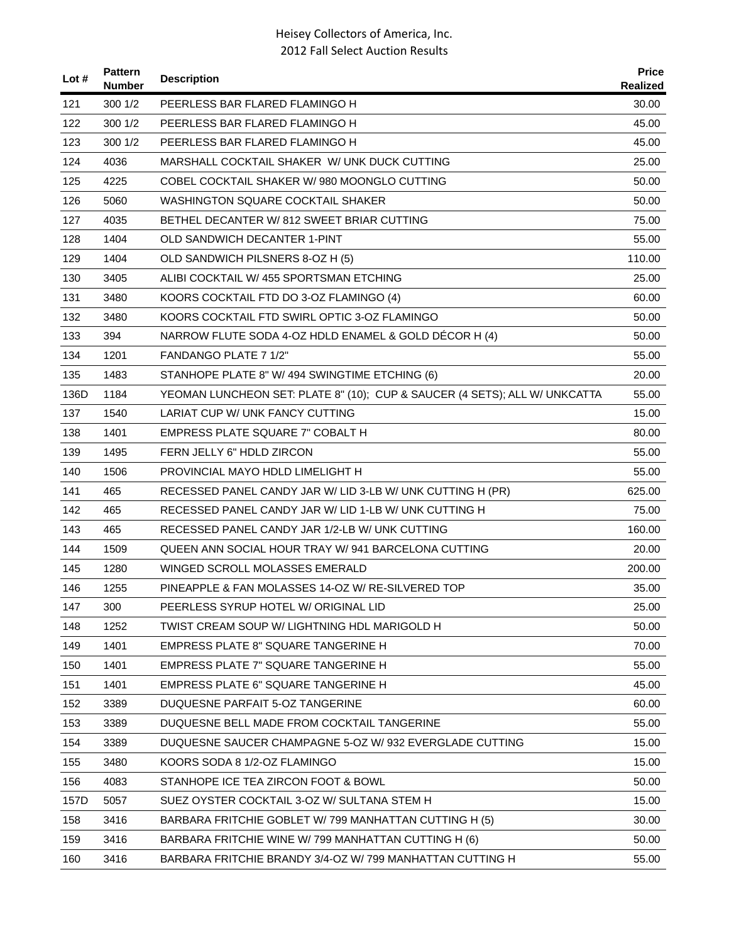| Lot $#$ | <b>Pattern</b><br>Number | <b>Description</b>                                                         | <b>Price</b><br><b>Realized</b> |
|---------|--------------------------|----------------------------------------------------------------------------|---------------------------------|
| 121     | 3001/2                   | PEERLESS BAR FLARED FLAMINGO H                                             | 30.00                           |
| 122     | 300 1/2                  | PEERLESS BAR FLARED FLAMINGO H                                             | 45.00                           |
| 123     | 3001/2                   | PEERLESS BAR FLARED FLAMINGO H                                             | 45.00                           |
| 124     | 4036                     | MARSHALL COCKTAIL SHAKER W/ UNK DUCK CUTTING                               | 25.00                           |
| 125     | 4225                     | COBEL COCKTAIL SHAKER W/980 MOONGLO CUTTING                                | 50.00                           |
| 126     | 5060                     | WASHINGTON SQUARE COCKTAIL SHAKER                                          | 50.00                           |
| 127     | 4035                     | BETHEL DECANTER W/812 SWEET BRIAR CUTTING                                  | 75.00                           |
| 128     | 1404                     | OLD SANDWICH DECANTER 1-PINT                                               | 55.00                           |
| 129     | 1404                     | OLD SANDWICH PILSNERS 8-OZ H (5)                                           | 110.00                          |
| 130     | 3405                     | ALIBI COCKTAIL W/ 455 SPORTSMAN ETCHING                                    | 25.00                           |
| 131     | 3480                     | KOORS COCKTAIL FTD DO 3-OZ FLAMINGO (4)                                    | 60.00                           |
| 132     | 3480                     | KOORS COCKTAIL FTD SWIRL OPTIC 3-OZ FLAMINGO                               | 50.00                           |
| 133     | 394                      | NARROW FLUTE SODA 4-OZ HDLD ENAMEL & GOLD DÉCOR H (4)                      | 50.00                           |
| 134     | 1201                     | FANDANGO PLATE 7 1/2"                                                      | 55.00                           |
| 135     | 1483                     | STANHOPE PLATE 8" W/ 494 SWINGTIME ETCHING (6)                             | 20.00                           |
| 136D    | 1184                     | YEOMAN LUNCHEON SET: PLATE 8" (10); CUP & SAUCER (4 SETS); ALL W/ UNKCATTA | 55.00                           |
| 137     | 1540                     | LARIAT CUP W/ UNK FANCY CUTTING                                            | 15.00                           |
| 138     | 1401                     | EMPRESS PLATE SQUARE 7" COBALT H                                           | 80.00                           |
| 139     | 1495                     | FERN JELLY 6" HDLD ZIRCON                                                  | 55.00                           |
| 140     | 1506                     | PROVINCIAL MAYO HDLD LIMELIGHT H                                           | 55.00                           |
| 141     | 465                      | RECESSED PANEL CANDY JAR W/ LID 3-LB W/ UNK CUTTING H (PR)                 | 625.00                          |
| 142     | 465                      | RECESSED PANEL CANDY JAR W/ LID 1-LB W/ UNK CUTTING H                      | 75.00                           |
| 143     | 465                      | RECESSED PANEL CANDY JAR 1/2-LB W/ UNK CUTTING                             | 160.00                          |
| 144     | 1509                     | QUEEN ANN SOCIAL HOUR TRAY W/ 941 BARCELONA CUTTING                        | 20.00                           |
| 145     | 1280                     | WINGED SCROLL MOLASSES EMERALD                                             | 200.00                          |
| 146     | 1255                     | PINEAPPLE & FAN MOLASSES 14-OZ W/ RE-SILVERED TOP                          | 35.00                           |
| 147     | 300                      | PEERLESS SYRUP HOTEL W/ ORIGINAL LID                                       | 25.00                           |
| 148     | 1252                     | TWIST CREAM SOUP W/ LIGHTNING HDL MARIGOLD H                               | 50.00                           |
| 149     | 1401                     | <b>EMPRESS PLATE 8" SQUARE TANGERINE H</b>                                 | 70.00                           |
| 150     | 1401                     | EMPRESS PLATE 7" SQUARE TANGERINE H                                        | 55.00                           |
| 151     | 1401                     | <b>EMPRESS PLATE 6" SQUARE TANGERINE H</b>                                 | 45.00                           |
| 152     | 3389                     | DUQUESNE PARFAIT 5-OZ TANGERINE                                            | 60.00                           |
| 153     | 3389                     | DUQUESNE BELL MADE FROM COCKTAIL TANGERINE                                 | 55.00                           |
| 154     | 3389                     | DUQUESNE SAUCER CHAMPAGNE 5-OZ W/932 EVERGLADE CUTTING                     | 15.00                           |
| 155     | 3480                     | KOORS SODA 8 1/2-OZ FLAMINGO                                               | 15.00                           |
| 156     | 4083                     | STANHOPE ICE TEA ZIRCON FOOT & BOWL                                        | 50.00                           |
| 157D    | 5057                     | SUEZ OYSTER COCKTAIL 3-OZ W/ SULTANA STEM H                                | 15.00                           |
| 158     | 3416                     | BARBARA FRITCHIE GOBLET W/799 MANHATTAN CUTTING H (5)                      | 30.00                           |
| 159     | 3416                     | BARBARA FRITCHIE WINE W/ 799 MANHATTAN CUTTING H (6)                       | 50.00                           |
| 160     | 3416                     | BARBARA FRITCHIE BRANDY 3/4-OZ W/ 799 MANHATTAN CUTTING H                  | 55.00                           |